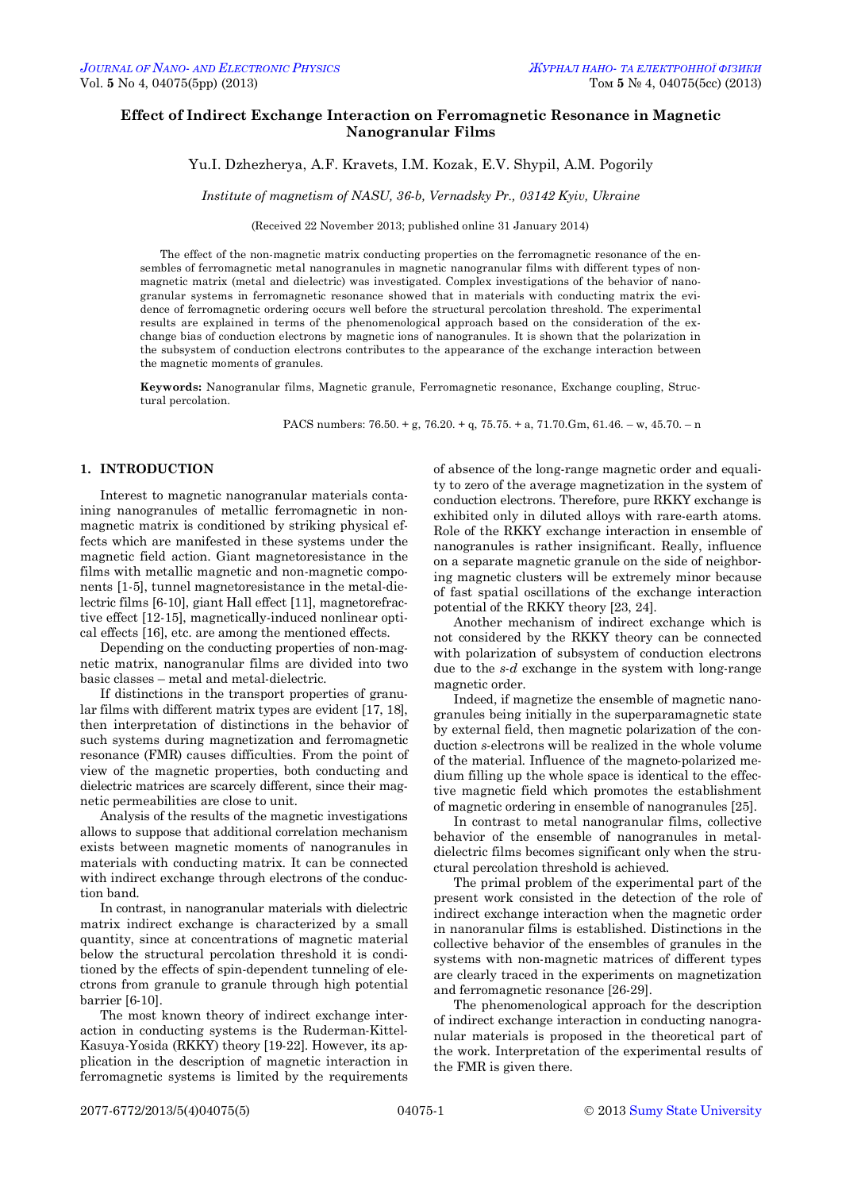# **Effect of Indirect Exchange Interaction on Ferromagnetic Resonance in Magnetic Nanogranular Films**

Yu.I. Dzhezherya, A.F. Kravets, I.M. Kozak, E.V. Shypil, A.M. Pogorily

*Institute of magnetism of NASU, 36-b, Vernadsky Pr., 03142 Kyiv, Ukraine*

(Received 22 November 2013; published online 31 January 2014)

The effect of the non-magnetic matrix conducting properties on the ferromagnetic resonance of the ensembles of ferromagnetic metal nanogranules in magnetic nanogranular films with different types of nonmagnetic matrix (metal and dielectric) was investigated. Complex investigations of the behavior of nanogranular systems in ferromagnetic resonance showed that in materials with conducting matrix the evidence of ferromagnetic ordering occurs well before the structural percolation threshold. The experimental results are explained in terms of the phenomenological approach based on the consideration of the exchange bias of conduction electrons by magnetic ions of nanogranules. It is shown that the polarization in the subsystem of conduction electrons contributes to the appearance of the exchange interaction between the magnetic moments of granules.

**Keywords:** Nanogranular films, Magnetic granule, Ferromagnetic resonance, Exchange coupling, Structural percolation.

PACS numbers: 76.50. + g, 76.20. + q, 75.75. + a, 71.70.Gm, 61.46. – w, 45.70. – n

## **1. INTRODUCTION**

Interest to magnetic nanogranular materials containing nanogranules of metallic ferromagnetic in nonmagnetic matrix is conditioned by striking physical effects which are manifested in these systems under the magnetic field action. Giant magnetoresistance in the films with metallic magnetic and non-magnetic components [1-5], tunnel magnetoresistance in the metal-dielectric films [6-10], giant Hall effect [11], magnetorefractive effect [12-15], magnetically-induced nonlinear optical effects [16], etc. are among the mentioned effects.

Depending on the conducting properties of non-magnetic matrix, nanogranular films are divided into two basic classes – metal and metal-dielectric.

If distinctions in the transport properties of granular films with different matrix types are evident [17, 18], then interpretation of distinctions in the behavior of such systems during magnetization and ferromagnetic resonance (FMR) causes difficulties. From the point of view of the magnetic properties, both conducting and dielectric matrices are scarcely different, since their magnetic permeabilities are close to unit.

Analysis of the results of the magnetic investigations allows to suppose that additional correlation mechanism exists between magnetic moments of nanogranules in materials with conducting matrix. It can be connected with indirect exchange through electrons of the conduction band.

In contrast, in nanogranular materials with dielectric matrix indirect exchange is characterized by a small quantity, since at concentrations of magnetic material below the structural percolation threshold it is conditioned by the effects of spin-dependent tunneling of electrons from granule to granule through high potential barrier [6-10].

The most known theory of indirect exchange interaction in conducting systems is the Ruderman-Kittel-Kasuya-Yosida (RKKY) theory [19-22]. However, its application in the description of magnetic interaction in ferromagnetic systems is limited by the requirements

of absence of the long-range magnetic order and equality to zero of the average magnetization in the system of conduction electrons. Therefore, pure RKKY exchange is exhibited only in diluted alloys with rare-earth atoms. Role of the RKKY exchange interaction in ensemble of nanogranules is rather insignificant. Really, influence on a separate magnetic granule on the side of neighboring magnetic clusters will be extremely minor because of fast spatial oscillations of the exchange interaction potential of the RKKY theory [23, 24].

Another mechanism of indirect exchange which is not considered by the RKKY theory can be connected with polarization of subsystem of conduction electrons due to the *s*-*d* exchange in the system with long-range magnetic order.

Indeed, if magnetize the ensemble of magnetic nanogranules being initially in the superparamagnetic state by external field, then magnetic polarization of the conduction *s*-electrons will be realized in the whole volume of the material. Influence of the magneto-polarized medium filling up the whole space is identical to the effective magnetic field which promotes the establishment of magnetic ordering in ensemble of nanogranules [25].

In contrast to metal nanogranular films, collective behavior of the ensemble of nanogranules in metaldielectric films becomes significant only when the structural percolation threshold is achieved.

The primal problem of the experimental part of the present work consisted in the detection of the role of indirect exchange interaction when the magnetic order in nanoranular films is established. Distinctions in the collective behavior of the ensembles of granules in the systems with non-magnetic matrices of different types are clearly traced in the experiments on magnetization and ferromagnetic resonance [26-29].

The phenomenological approach for the description of indirect exchange interaction in conducting nanogranular materials is proposed in the theoretical part of the work. Interpretation of the experimental results of the FMR is given there.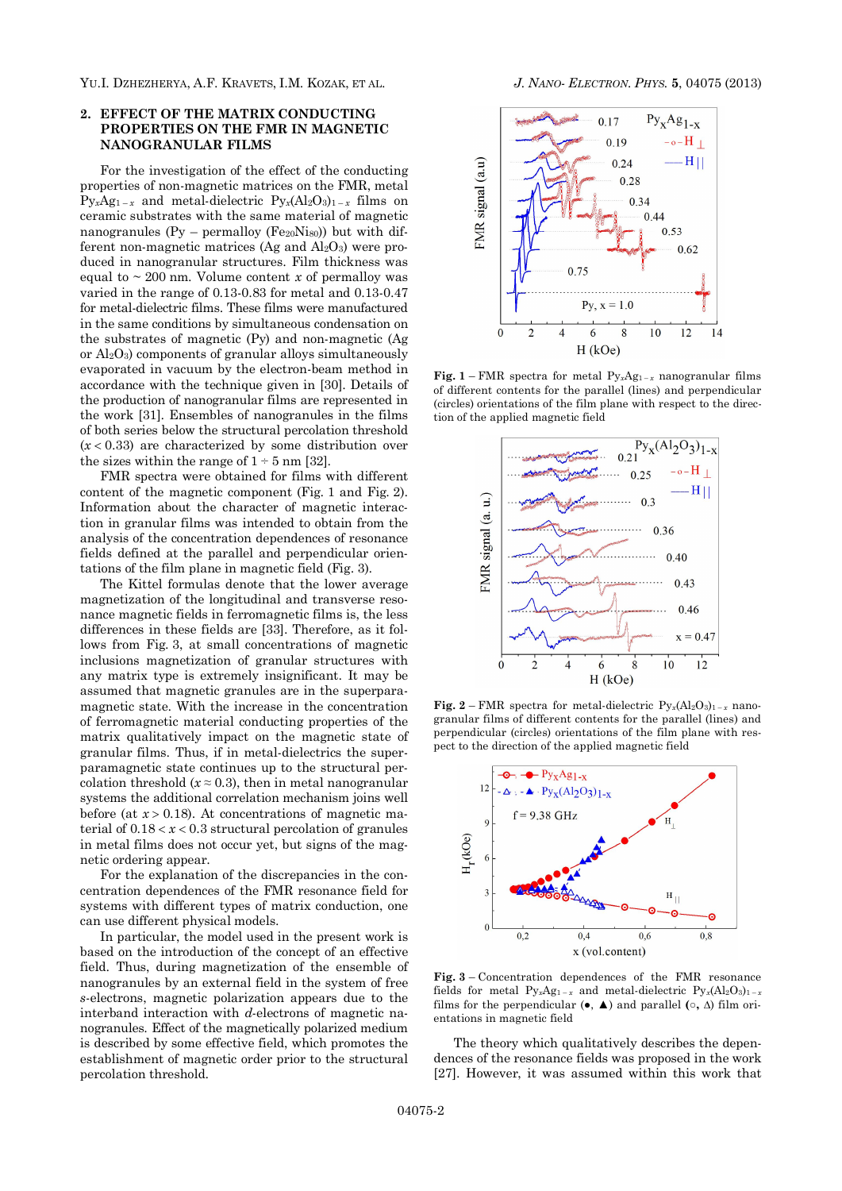YU.I. DZHEZHERYA, A.F. KRAVETS, I.M. KOZAK, ET AL. *J. NANO- ELECTRON. PHYS.* **5**, 04075 (2013)

## **2. EFFECT OF THE MATRIX CONDUCTING PROPERTIES ON THE FMR IN MAGNETIC NANOGRANULAR FILMS**

For the investigation of the effect of the conducting properties of non-magnetic matrices on the FMR, metal  $Py_xAg_{1-x}$  and metal-dielectric  $Py_x(Al_2O_3)_{1-x}$  films on ceramic substrates with the same material of magnetic nanogranules  $(Py - permallow (Fe_{20}Nis_0))$  but with different non-magnetic matrices (Ag and  $Al_2O_3$ ) were produced in nanogranular structures. Film thickness was equal to  $\sim 200$  nm. Volume content *x* of permalloy was varied in the range of 0.13-0.83 for metal and 0.13-0.47 for metal-dielectric films. These films were manufactured in the same conditions by simultaneous condensation on the substrates of magnetic (Py) and non-magnetic (Ag or  $Al_2O_3$ ) components of granular alloys simultaneously evaporated in vacuum by the electron-beam method in accordance with the technique given in [30]. Details of the production of nanogranular films are represented in the work [31]. Ensembles of nanogranules in the films of both series below the structural percolation threshold  $(x < 0.33)$  are characterized by some distribution over the sizes within the range of  $1 \div 5$  nm [32].

FMR spectra were obtained for films with different content of the magnetic component (Fig. 1 and Fig. 2). Information about the character of magnetic interaction in granular films was intended to obtain from the analysis of the concentration dependences of resonance fields defined at the parallel and perpendicular orientations of the film plane in magnetic field (Fig. 3).

The Kittel formulas denote that the lower average magnetization of the longitudinal and transverse resonance magnetic fields in ferromagnetic films is, the less differences in these fields are [33]. Therefore, as it follows from Fig. 3, at small concentrations of magnetic inclusions magnetization of granular structures with any matrix type is extremely insignificant. It may be assumed that magnetic granules are in the superparamagnetic state. With the increase in the concentration of ferromagnetic material conducting properties of the matrix qualitatively impact on the magnetic state of granular films. Thus, if in metal-dielectrics the superparamagnetic state continues up to the structural percolation threshold  $(x \approx 0.3)$ , then in metal nanogranular systems the additional correlation mechanism joins well before (at  $x > 0.18$ ). At concentrations of magnetic material of  $0.18 < x < 0.3$  structural percolation of granules in metal films does not occur yet, but signs of the magnetic ordering appear.

For the explanation of the discrepancies in the concentration dependences of the FMR resonance field for systems with different types of matrix conduction, one can use different physical models.

In particular, the model used in the present work is based on the introduction of the concept of an effective field. Thus, during magnetization of the ensemble of nanogranules by an external field in the system of free *s*-electrons, magnetic polarization appears due to the interband interaction with *d*-electrons of magnetic nanogranules. Effect of the magnetically polarized medium is described by some effective field, which promotes the establishment of magnetic order prior to the structural percolation threshold.



**Fig. 1** – FMR spectra for metal  $Py_xAg_{1-x}$  nanogranular films of different contents for the parallel (lines) and perpendicular (circles) orientations of the film plane with respect to the direction of the applied magnetic field



**Fig. 2** – FMR spectra for metal-dielectric  $Py_x(A_2O_3)_{1-x}$  nanogranular films of different contents for the parallel (lines) and perpendicular (circles) orientations of the film plane with respect to the direction of the applied magnetic field



**Fig. 3** – Concentration dependences of the FMR resonance fields for metal  $Py_xAg_{1-x}$  and metal-dielectric  $Py_x(A|_2O_3)_{1-x}$ films for the perpendicular  $(\bullet, \blacktriangle)$  and parallel  $(\circ, \triangle)$  film orientations in magnetic field

The theory which qualitatively describes the dependences of the resonance fields was proposed in the work [27]. However, it was assumed within this work that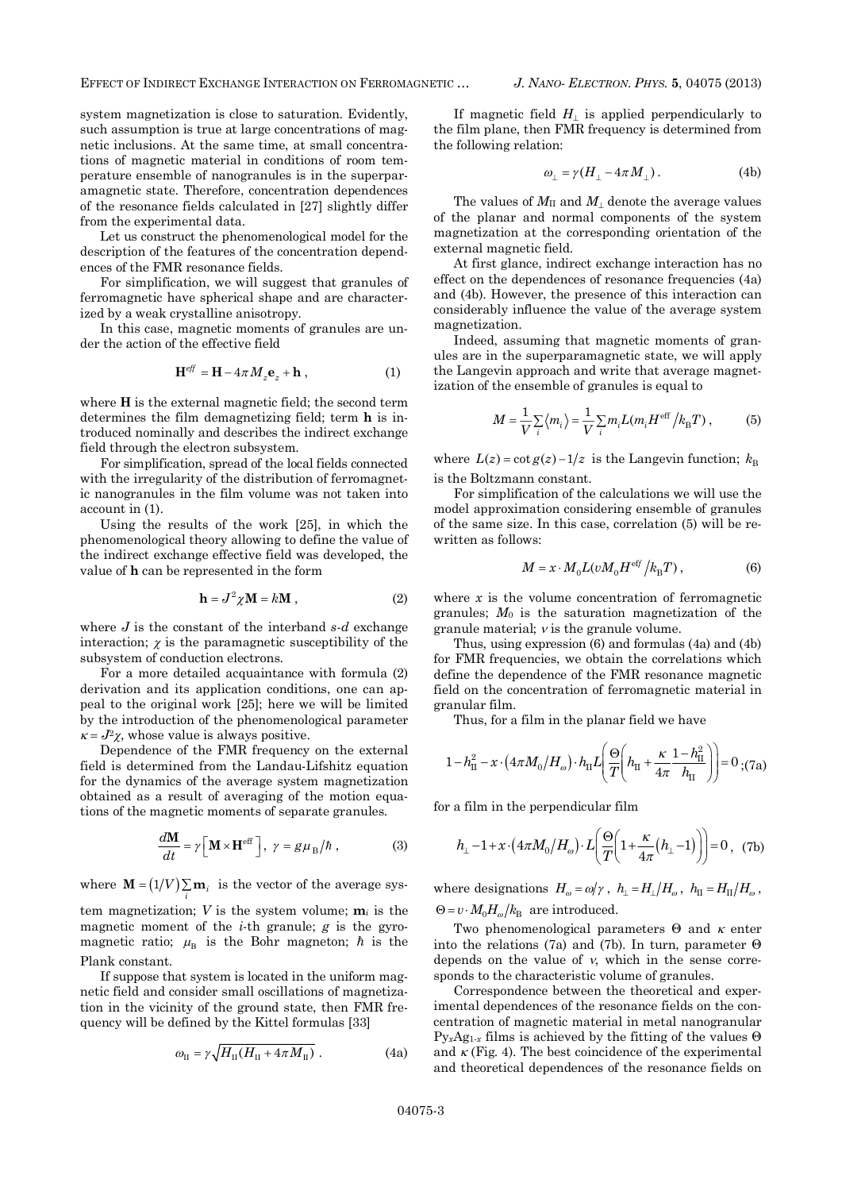EFFECT OF INDIRECT EXCHANGE INTERACTION ON FERROMAGNETIC … *J. NANO- ELECTRON. PHYS.* **5**, 04075 (2013)

system magnetization is close to saturation. Evidently, such assumption is true at large concentrations of magnetic inclusions. At the same time, at small concentrations of magnetic material in conditions of room temperature ensemble of nanogranules is in the superparamagnetic state. Therefore, concentration dependences of the resonance fields calculated in [27] slightly differ from the experimental data.

Let us construct the phenomenological model for the description of the features of the concentration dependences of the FMR resonance fields.

For simplification, we will suggest that granules of ferromagnetic have spherical shape and are characterized by a weak crystalline anisotropy.

In this case, magnetic moments of granules are under the action of the effective field

$$
\mathbf{H}^{eff} = \mathbf{H} - 4\pi M_z \mathbf{e}_z + \mathbf{h} \tag{1}
$$

where **H** is the external magnetic field; the second term determines the film demagnetizing field; term **h** is introduced nominally and describes the indirect exchange field through the electron subsystem.

For simplification, spread of the local fields connected with the irregularity of the distribution of ferromagnetic nanogranules in the film volume was not taken into account in (1).

Using the results of the work [25], in which the phenomenological theory allowing to define the value of the indirect exchange effective field was developed, the value of **h** can be represented in the form

$$
\mathbf{h} = J^2 \chi \mathbf{M} = k \mathbf{M} \tag{2}
$$

where *J* is the constant of the interband *s-d* exchange interaction;  $\chi$  is the paramagnetic susceptibility of the subsystem of conduction electrons.

For a more detailed acquaintance with formula (2) derivation and its application conditions, one can appeal to the original work [25]; here we will be limited by the introduction of the phenomenological parameter  $\kappa = J^2 \chi$ , whose value is always positive.

Dependence of the FMR frequency on the external field is determined from the Landau-Lifshitz equation for the dynamics of the average system magnetization obtained as a result of averaging of the motion equations of the magnetic moments of separate granules.

$$
\frac{d\mathbf{M}}{dt} = \gamma \Big[ \mathbf{M} \times \mathbf{H}^{\text{eff}} \Big], \ \gamma = g\mu_B/\hbar \ , \tag{3}
$$

where  $\mathbf{M} = (1 / V) \sum_{i} \mathbf{m}_i$  is the vector of the average sys-

tem magnetization; *V* is the system volume;  $m_i$  is the magnetic moment of the *i*-th granule; *g* is the gyromagnetic ratio;  $\mu_B$  is the Bohr magneton;  $\hbar$  is the Plank constant.

If suppose that system is located in the uniform magnetic field and consider small oscillations of magnetization in the vicinity of the ground state, then FMR frequency will be defined by the Kittel formulas [33]

$$
\omega_{\rm II} = \gamma \sqrt{H_{\rm II}(H_{\rm II} + 4\pi M_{\rm II})} \ . \tag{4a}
$$

If magnetic field  $H_1$  is applied perpendicularly to the film plane, then FMR frequency is determined from the following relation:

$$
\omega_{\perp} = \gamma (H_{\perp} - 4\pi M_{\perp}). \tag{4b}
$$

The values of  $M_{\text{II}}$  and  $M_{\text{I}}$  denote the average values of the planar and normal components of the system magnetization at the corresponding orientation of the external magnetic field.

At first glance, indirect exchange interaction has no effect on the dependences of resonance frequencies (4a) and (4b). However, the presence of this interaction can considerably influence the value of the average system magnetization.

Indeed, assuming that magnetic moments of granules are in the superparamagnetic state, we will apply the Langevin approach and write that average magnetization of the ensemble of granules is equal to

$$
M = \frac{1}{V} \sum_{i} \langle m_i \rangle = \frac{1}{V} \sum_{i} m_i L(m_i H^{\text{eff}} / k_{\text{B}} T) ,
$$
 (5)

where  $L(z) = \cot g(z) - 1/z$  is the Langevin function;  $k_B$ is the Boltzmann constant.

For simplification of the calculations we will use the model approximation considering ensemble of granules of the same size. In this case, correlation (5) will be rewritten as follows:

$$
M = x \cdot M_0 L(vM_0 H^{\text{eff}}/k_{\text{B}}T) , \qquad (6)
$$

where *x* is the volume concentration of ferromagnetic granules; *M*0 is the saturation magnetization of the granule material;  $\nu$  is the granule volume.

Thus, using expression (6) and formulas (4a) and (4b) for FMR frequencies, we obtain the correlations which define the dependence of the FMR resonance magnetic field on the concentration of ferromagnetic material in granular film.

Thus, for a film in the planar field we have

$$
1 - h_{\rm II}^{2} - x \cdot (4\pi M_{0}/H_{\omega}) \cdot h_{\rm II} L \left(\frac{\Theta}{T} \left( h_{\rm II} + \frac{\kappa}{4\pi} \frac{1 - h_{\rm II}^{2}}{h_{\rm II}} \right)\right) = 0 \; ; \text{(7a)}
$$

for a film in the perpendicular film

$$
h_{\perp} - 1 + x \cdot (4\pi M_0 / H_{\omega}) \cdot L\left(\frac{\Theta}{T} \left(1 + \frac{\kappa}{4\pi} (h_{\perp} - 1)\right)\right) = 0, \quad (7b)
$$

where designations  $H_{\omega} = \omega / \gamma$ ,  $h_{\perp} = H_{\perp} / H_{\omega}$ ,  $h_{\text{II}} = H_{\text{II}} / H_{\omega}$ ,  $\Theta = v \cdot M_0 H_\omega / k_\text{B}$  are introduced.

Two phenomenological parameters  $\Theta$  and  $\kappa$  enter into the relations (7a) and (7b). In turn, parameter  $\Theta$ depends on the value of  $\nu$ , which in the sense corresponds to the characteristic volume of granules.

Correspondence between the theoretical and experimental dependences of the resonance fields on the concentration of magnetic material in metal nanogranular  $P_{V_x}Ag_{1x}$  films is achieved by the fitting of the values  $\Theta$ and  $\kappa$  (Fig. 4). The best coincidence of the experimental and theoretical dependences of the resonance fields on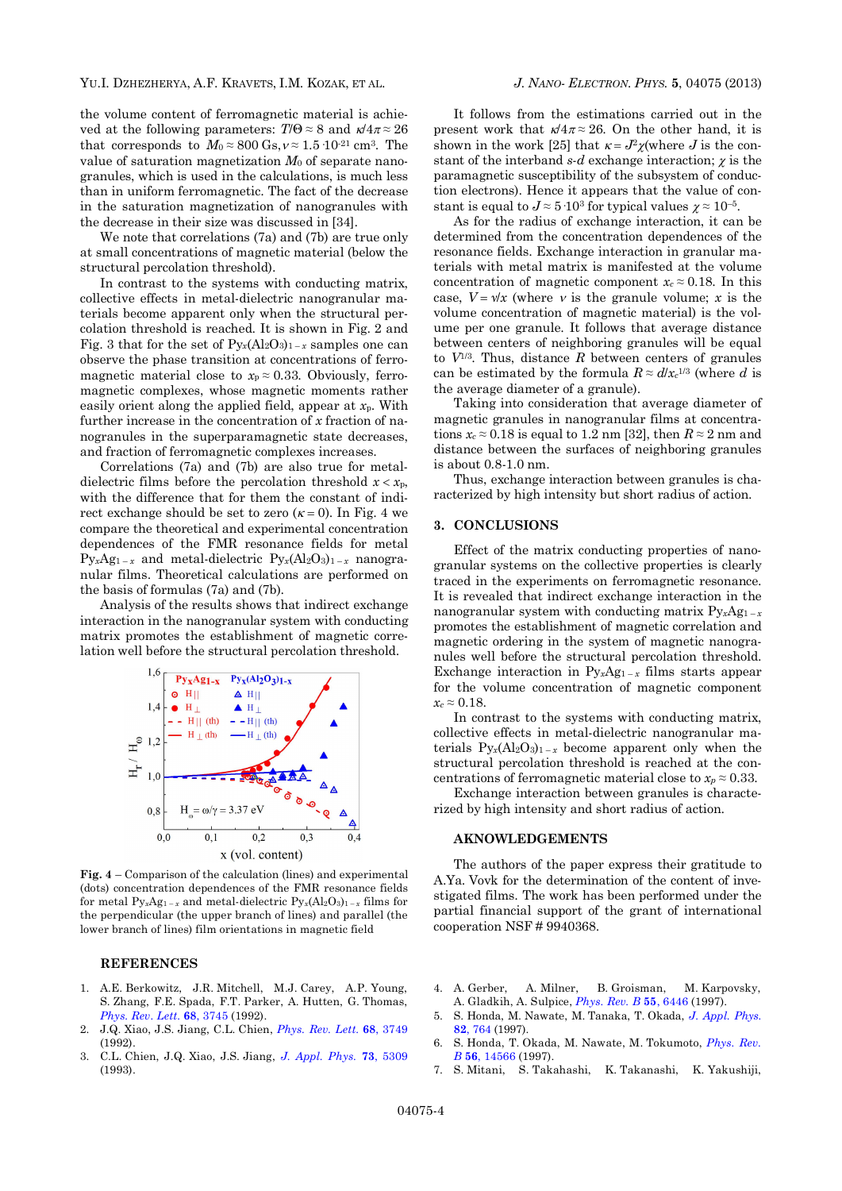the volume content of ferromagnetic material is achieved at the following parameters:  $T/\Theta \approx 8$  and  $\kappa/4\pi \approx 26$ that corresponds to  $M_0 \approx 800 \text{ Gs}, v \approx 1.5 \cdot 10^{-21} \text{ cm}^3$ . The value of saturation magnetization *M*0 of separate nanogranules, which is used in the calculations, is much less than in uniform ferromagnetic. The fact of the decrease in the saturation magnetization of nanogranules with the decrease in their size was discussed in [34].

We note that correlations (7a) and (7b) are true only at small concentrations of magnetic material (below the structural percolation threshold).

In contrast to the systems with conducting matrix, collective effects in metal-dielectric nanogranular materials become apparent only when the structural percolation threshold is reached. It is shown in Fig. 2 and Fig. 3 that for the set of  $Py_x(A_2O_3)_{1-x}$  samples one can observe the phase transition at concentrations of ferromagnetic material close to  $x_p \approx 0.33$ . Obviously, ferromagnetic complexes, whose magnetic moments rather easily orient along the applied field, appear at *x*p. With further increase in the concentration of *x* fraction of nanogranules in the superparamagnetic state decreases, and fraction of ferromagnetic complexes increases.

Correlations (7a) and (7b) are also true for metaldielectric films before the percolation threshold  $x < x_p$ , with the difference that for them the constant of indirect exchange should be set to zero  $(\kappa = 0)$ . In Fig. 4 we compare the theoretical and experimental concentration dependences of the FMR resonance fields for metal  $Py_xAg_{1-x}$  and metal-dielectric  $Py_x(Al_2O_3)_{1-x}$  nanogranular films. Theoretical calculations are performed on the basis of formulas (7a) and (7b).

Analysis of the results shows that indirect exchange interaction in the nanogranular system with conducting matrix promotes the establishment of magnetic correlation well before the structural percolation threshold.



**Fig. 4** – Comparison of the calculation (lines) and experimental (dots) concentration dependences of the FMR resonance fields for metal  $Py_xAg_{1-x}$  and metal-dielectric  $Py_x(Al_2O_3)_{1-x}$  films for the perpendicular (the upper branch of lines) and parallel (the lower branch of lines) film orientations in magnetic field

### **REFERENCES**

- 1. A.E. Berkowitz, J.R. Mitchell, M.J. Carey, A.P. Young, S. Zhang, F.E. Spada, F.T. Parker, A. Hutten, G. Thomas, *[Phys. Rev. Lett.](http://dx.doi.org/10.1103/PhysRevLett.68.3745)* **68**, 3745 (1992).
- 2. J.Q. Xiao, J.S. Jiang, C.L. Chien, *[Phys. Rev. Lett.](http://dx.doi.org/10.1103/PhysRevLett.68.3749)* **68**, 3749 (1992).
- 3. C.L. Chien, J.Q. Xiao, J.S. Jiang, *[J. Appl. Phys.](http://dx.doi.org/10.1063/1.353765)* **73**, 5309 (1993).

It follows from the estimations carried out in the present work that  $\kappa/4\pi \approx 26$ . On the other hand, it is shown in the work [25] that  $\kappa = J^2 \chi$  (where *J* is the constant of the interband  $s$ -*d* exchange interaction;  $\chi$  is the paramagnetic susceptibility of the subsystem of conduction electrons). Hence it appears that the value of constant is equal to  $J \approx 5 \cdot 10^3$  for typical values  $\gamma \approx 10^{-5}$ .

As for the radius of exchange interaction, it can be determined from the concentration dependences of the resonance fields. Exchange interaction in granular materials with metal matrix is manifested at the volume concentration of magnetic component  $x_c \approx 0.18$ . In this case,  $V = \sqrt{x}$  (where v is the granule volume; x is the volume concentration of magnetic material) is the volume per one granule. It follows that average distance between centers of neighboring granules will be equal to  $V^{1/3}$ . Thus, distance  $R$  between centers of granules can be estimated by the formula  $R \approx d/x_c^{1/3}$  (where *d* is the average diameter of a granule).

Taking into consideration that average diameter of magnetic granules in nanogranular films at concentrations  $x_c \approx 0.18$  is equal to 1.2 nm [32], then  $R \approx 2$  nm and distance between the surfaces of neighboring granules is about 0.8-1.0 nm.

Thus, exchange interaction between granules is characterized by high intensity but short radius of action.

## **3. CONCLUSIONS**

Effect of the matrix conducting properties of nanogranular systems on the collective properties is clearly traced in the experiments on ferromagnetic resonance. It is revealed that indirect exchange interaction in the nanogranular system with conducting matrix  $Py_xAg_{1-x}$ promotes the establishment of magnetic correlation and magnetic ordering in the system of magnetic nanogranules well before the structural percolation threshold. Exchange interaction in  $Py_xAg_{1-x}$  films starts appear for the volume concentration of magnetic component  $x_c \approx 0.18$ .

In contrast to the systems with conducting matrix, collective effects in metal-dielectric nanogranular materials  $Py_x(A_2O_3)_{1-x}$  become apparent only when the structural percolation threshold is reached at the concentrations of ferromagnetic material close to  $x_p \approx 0.33$ .

Exchange interaction between granules is characterized by high intensity and short radius of action.

#### **AKNOWLEDGEMENTS**

The authors of the paper express their gratitude to A.Ya. Vovk for the determination of the content of investigated films. The work has been performed under the partial financial support of the grant of international cooperation NSF # 9940368.

- 4. A. Gerber, A. Milner, B. Groisman, M. Karpovsky, A. Gladkih, A. Sulpice, *[Phys. Rev. B](http://dx.doi.org/10.1103/PhysRevB.55.6446)* **55**, 6446 (1997).
- 5. S. Honda, M. Nawate, M. Tanaka, T. Okada, *[J. Appl. Phys.](http://dx.doi.org/10.1063/1.365770)* **82**[, 764](http://dx.doi.org/10.1063/1.365770) (1997).
- 6. S. Honda, T. Okada, M. Nawate, M. Tokumoto, *[Phys. Rev.](http://dx.doi.org/10.1103/PhysRevB.56.14566) B* **56**[, 14566](http://dx.doi.org/10.1103/PhysRevB.56.14566) (1997).
- 7. S. Mitani, S. Takahashi, K. Takanashi, K. Yakushiji,